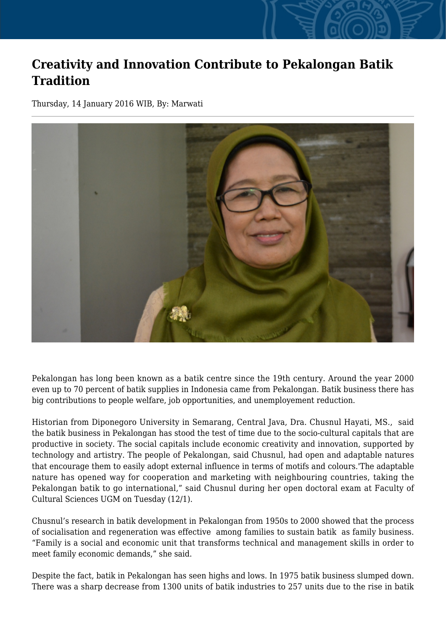## **Creativity and Innovation Contribute to Pekalongan Batik Tradition**

Thursday, 14 January 2016 WIB, By: Marwati



Pekalongan has long been known as a batik centre since the 19th century. Around the year 2000 even up to 70 percent of batik supplies in Indonesia came from Pekalongan. Batik business there has big contributions to people welfare, job opportunities, and unemployement reduction.

Historian from Diponegoro University in Semarang, Central Java, Dra. Chusnul Hayati, MS., said the batik business in Pekalongan has stood the test of time due to the socio-cultural capitals that are productive in society. The social capitals include economic creativity and innovation, supported by technology and artistry. The people of Pekalongan, said Chusnul, had open and adaptable natures that encourage them to easily adopt external influence in terms of motifs and colours.'The adaptable nature has opened way for cooperation and marketing with neighbouring countries, taking the Pekalongan batik to go international," said Chusnul during her open doctoral exam at Faculty of Cultural Sciences UGM on Tuesday (12/1).

Chusnul's research in batik development in Pekalongan from 1950s to 2000 showed that the process of socialisation and regeneration was effective among families to sustain batik as family business. "Family is a social and economic unit that transforms technical and management skills in order to meet family economic demands," she said.

Despite the fact, batik in Pekalongan has seen highs and lows. In 1975 batik business slumped down. There was a sharp decrease from 1300 units of batik industries to 257 units due to the rise in batik